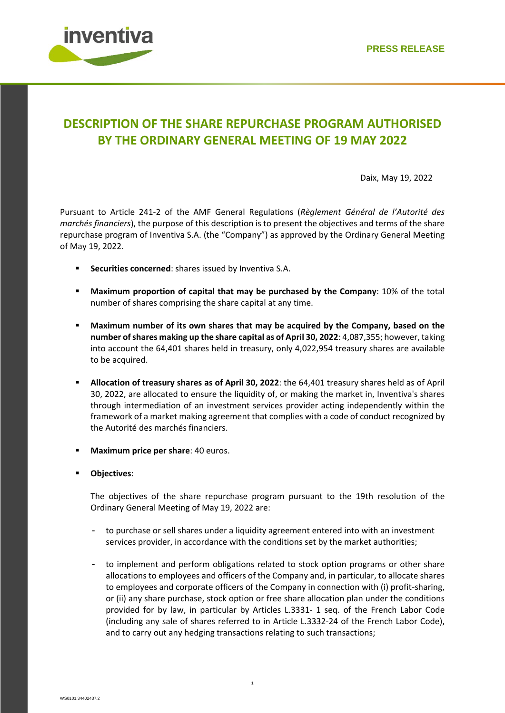**PRESS RELEASE**



## **DESCRIPTION OF THE SHARE REPURCHASE PROGRAM AUTHORISED BY THE ORDINARY GENERAL MEETING OF 19 MAY 2022**

Daix, May 19, 2022

Pursuant to Article 241-2 of the AMF General Regulations (*Règlement Général de l'Autorité des marchés financiers*), the purpose of this description is to present the objectives and terms of the share repurchase program of Inventiva S.A. (the "Company") as approved by the Ordinary General Meeting of May 19, 2022.

- **Securities concerned**: shares issued by Inventiva S.A.
- **Maximum proportion of capital that may be purchased by the Company**: 10% of the total number of shares comprising the share capital at any time.
- **Maximum number of its own shares that may be acquired by the Company, based on the number of shares making up the share capital as of April 30, 2022**: 4,087,355; however, taking into account the 64,401 shares held in treasury, only 4,022,954 treasury shares are available to be acquired.
- **Allocation of treasury shares as of April 30, 2022**: the 64,401 treasury shares held as of April 30, 2022, are allocated to ensure the liquidity of, or making the market in, Inventiva's shares through intermediation of an investment services provider acting independently within the framework of a market making agreement that complies with a code of conduct recognized by the Autorité des marchés financiers.
- **Maximum price per share**: 40 euros.
- **Objectives**:

The objectives of the share repurchase program pursuant to the 19th resolution of the Ordinary General Meeting of May 19, 2022 are:

- to purchase or sell shares under a liquidity agreement entered into with an investment services provider, in accordance with the conditions set by the market authorities;
- to implement and perform obligations related to stock option programs or other share allocations to employees and officers of the Company and, in particular, to allocate shares to employees and corporate officers of the Company in connection with (i) profit-sharing, or (ii) any share purchase, stock option or free share allocation plan under the conditions provided for by law, in particular by Articles L.3331- 1 seq. of the French Labor Code (including any sale of shares referred to in Article L.3332-24 of the French Labor Code), and to carry out any hedging transactions relating to such transactions;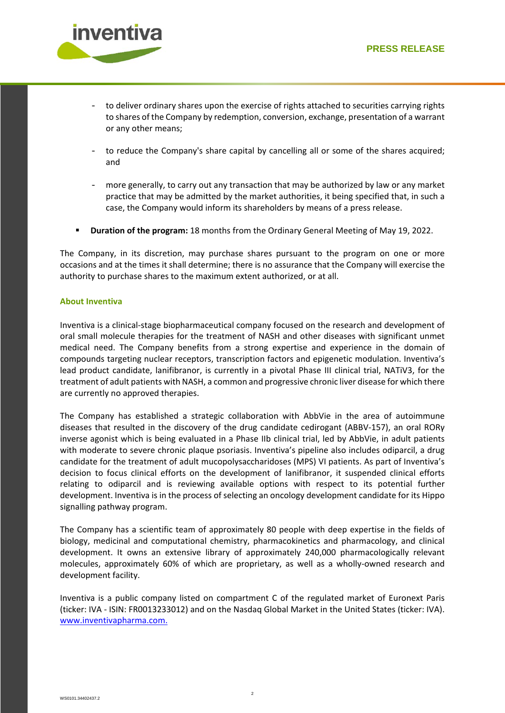

- to deliver ordinary shares upon the exercise of rights attached to securities carrying rights to shares of the Company by redemption, conversion, exchange, presentation of a warrant or any other means;
- to reduce the Company's share capital by cancelling all or some of the shares acquired; and
- more generally, to carry out any transaction that may be authorized by law or any market practice that may be admitted by the market authorities, it being specified that, in such a case, the Company would inform its shareholders by means of a press release.
- **Duration of the program:** 18 months from the Ordinary General Meeting of May 19, 2022.

The Company, in its discretion, may purchase shares pursuant to the program on one or more occasions and at the times it shall determine; there is no assurance that the Company will exercise the authority to purchase shares to the maximum extent authorized, or at all.

## **About Inventiva**

Inventiva is a clinical-stage biopharmaceutical company focused on the research and development of oral small molecule therapies for the treatment of NASH and other diseases with significant unmet medical need. The Company benefits from a strong expertise and experience in the domain of compounds targeting nuclear receptors, transcription factors and epigenetic modulation. Inventiva's lead product candidate, lanifibranor, is currently in a pivotal Phase III clinical trial, NATiV3, for the treatment of adult patients with NASH, a common and progressive chronic liver disease for which there are currently no approved therapies.

The Company has established a strategic collaboration with AbbVie in the area of autoimmune diseases that resulted in the discovery of the drug candidate cedirogant (ABBV-157), an oral RORγ inverse agonist which is being evaluated in a Phase IIb clinical trial, led by AbbVie, in adult patients with moderate to severe chronic plaque psoriasis. Inventiva's pipeline also includes odiparcil, a drug candidate for the treatment of adult mucopolysaccharidoses (MPS) VI patients. As part of Inventiva's decision to focus clinical efforts on the development of lanifibranor, it suspended clinical efforts relating to odiparcil and is reviewing available options with respect to its potential further development. Inventiva is in the process of selecting an oncology development candidate for its Hippo signalling pathway program.

The Company has a scientific team of approximately 80 people with deep expertise in the fields of biology, medicinal and computational chemistry, pharmacokinetics and pharmacology, and clinical development. It owns an extensive library of approximately 240,000 pharmacologically relevant molecules, approximately 60% of which are proprietary, as well as a wholly-owned research and development facility.

Inventiva is a public company listed on compartment C of the regulated market of Euronext Paris (ticker: IVA - ISIN: FR0013233012) and on the Nasdaq Global Market in the United States (ticker: IVA). [www.inventivapharma.com.](http://www.inventivapharma.com/)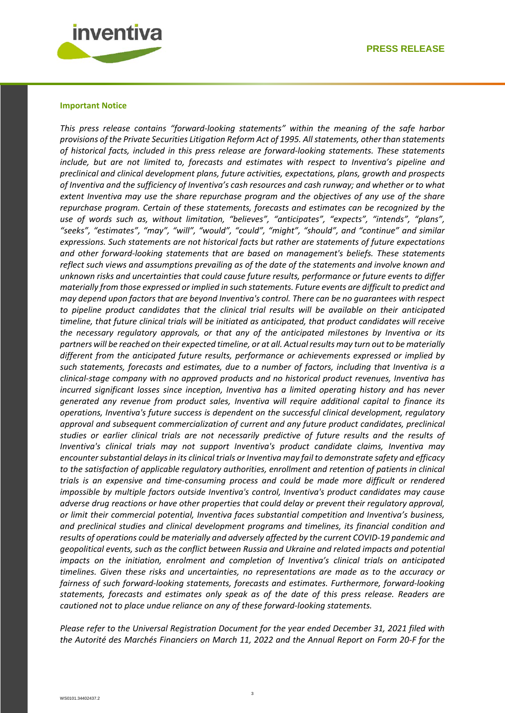

## **Important Notice**

*This press release contains "forward-looking statements" within the meaning of the safe harbor provisions of the Private Securities Litigation Reform Act of 1995. All statements, other than statements of historical facts, included in this press release are forward-looking statements. These statements include, but are not limited to, forecasts and estimates with respect to Inventiva's pipeline and preclinical and clinical development plans, future activities, expectations, plans, growth and prospects of Inventiva and the sufficiency of Inventiva's cash resources and cash runway; and whether or to what extent Inventiva may use the share repurchase program and the objectives of any use of the share repurchase program. Certain of these statements, forecasts and estimates can be recognized by the use of words such as, without limitation, "believes", "anticipates", "expects", "intends", "plans", "seeks", "estimates", "may", "will", "would", "could", "might", "should", and "continue" and similar expressions. Such statements are not historical facts but rather are statements of future expectations and other forward-looking statements that are based on management's beliefs. These statements reflect such views and assumptions prevailing as of the date of the statements and involve known and unknown risks and uncertainties that could cause future results, performance or future events to differ materially from those expressed or implied in such statements. Future events are difficult to predict and may depend upon factors that are beyond Inventiva's control. There can be no guarantees with respect to pipeline product candidates that the clinical trial results will be available on their anticipated timeline, that future clinical trials will be initiated as anticipated, that product candidates will receive the necessary regulatory approvals, or that any of the anticipated milestones by Inventiva or its partners will be reached on their expected timeline, or at all. Actual results may turn out to be materially different from the anticipated future results, performance or achievements expressed or implied by such statements, forecasts and estimates, due to a number of factors, including that Inventiva is a clinical-stage company with no approved products and no historical product revenues, Inventiva has incurred significant losses since inception, Inventiva has a limited operating history and has never generated any revenue from product sales, Inventiva will require additional capital to finance its operations, Inventiva's future success is dependent on the successful clinical development, regulatory approval and subsequent commercialization of current and any future product candidates, preclinical studies or earlier clinical trials are not necessarily predictive of future results and the results of Inventiva's clinical trials may not support Inventiva's product candidate claims, Inventiva may encounter substantial delays in its clinical trials or Inventiva may fail to demonstrate safety and efficacy to the satisfaction of applicable regulatory authorities, enrollment and retention of patients in clinical trials is an expensive and time-consuming process and could be made more difficult or rendered impossible by multiple factors outside Inventiva's control, Inventiva's product candidates may cause adverse drug reactions or have other properties that could delay or prevent their regulatory approval, or limit their commercial potential, Inventiva faces substantial competition and Inventiva's business, and preclinical studies and clinical development programs and timelines, its financial condition and results of operations could be materially and adversely affected by the current COVID-19 pandemic and geopolitical events, such as the conflict between Russia and Ukraine and related impacts and potential impacts on the initiation, enrolment and completion of Inventiva's clinical trials on anticipated timelines. Given these risks and uncertainties, no representations are made as to the accuracy or fairness of such forward-looking statements, forecasts and estimates. Furthermore, forward-looking statements, forecasts and estimates only speak as of the date of this press release. Readers are cautioned not to place undue reliance on any of these forward-looking statements.*

*Please refer to the Universal Registration Document for the year ended December 31, 2021 filed with the Autorité des Marchés Financiers on March 11, 2022 and the Annual Report on Form 20-F for the*